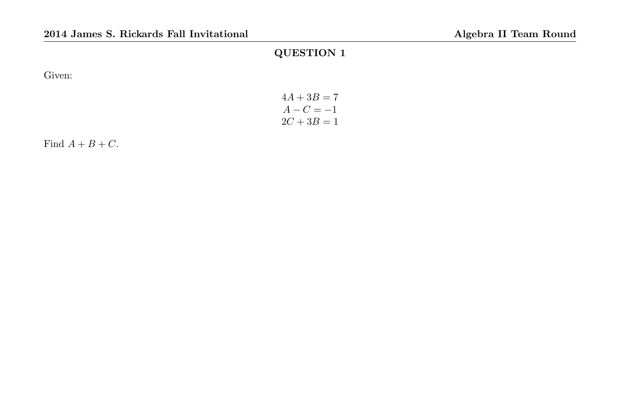Given:

| $4A + 3B = 7$ |  |
|---------------|--|
| $A - C = -1$  |  |
| $2C + 3B = 1$ |  |

Find  $A + B + C$ .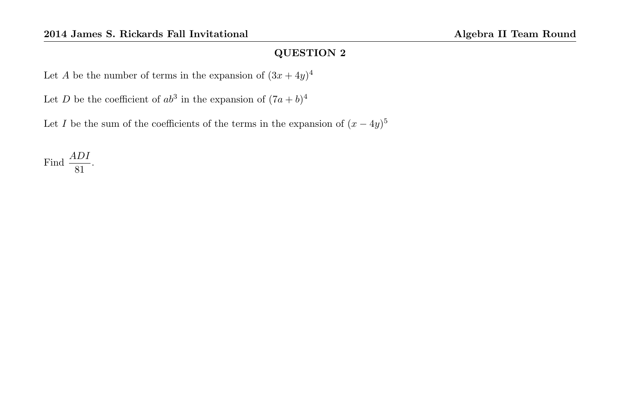Let A be the number of terms in the expansion of  $(3x+4y)^4$ 

Let D be the coefficient of  $ab^3$  in the expansion of  $(7a+b)^4$ 

Let I be the sum of the coefficients of the terms in the expansion of  $(x - 4y)^5$ 

Find  $\frac{ADI}{81}$ .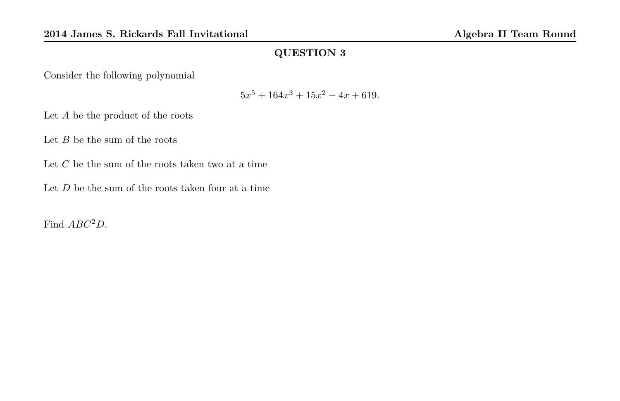Consider the following polynomial

$$
5x^5 + 164x^3 + 15x^2 - 4x + 619.
$$

Let A be the product of the roots

Let  $B$  be the sum of the roots

Let  $C$  be the sum of the roots taken two at a time

Let  $D$  be the sum of the roots taken four at a time

Find  $ABC^2D$ .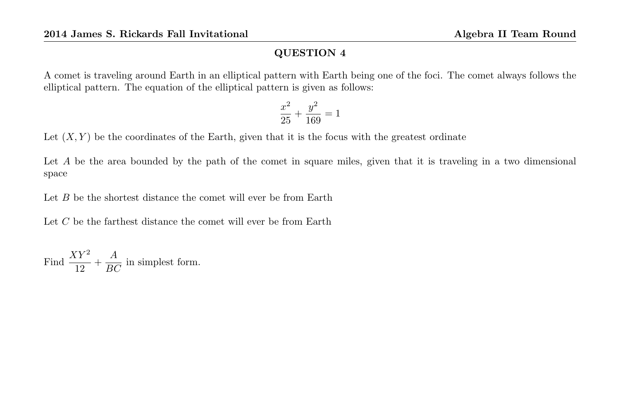A comet is traveling around Earth in an elliptical pattern with Earth being one of the foci. The comet always follows the elliptical pattern. The equation of the elliptical pattern is given as follows:

$$
\frac{x^2}{25} + \frac{y^2}{169} = 1
$$

Let  $(X, Y)$  be the coordinates of the Earth, given that it is the focus with the greatest ordinate

Let A be the area bounded by the path of the comet in square miles, given that it is traveling in a two dimensional space

Let  $B$  be the shortest distance the comet will ever be from Earth

Let C be the farthest distance the comet will ever be from Earth

Find  $\frac{XY^2}{12} + \frac{A}{BC}$  in simplest form.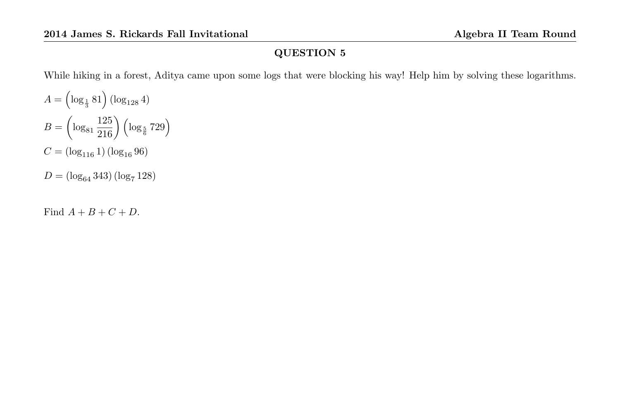While hiking in a forest, Aditya came upon some logs that were blocking his way! Help him by solving these logarithms.

 $A = \left(\log_{\frac{1}{3}} 81\right) \left(\log_{128} 4\right)$  $B = \left(\log_{81} \frac{125}{216}\right) \left(\log_{\frac{5}{6}} 729\right)$  $C = (\log_{116} 1) (\log_{16} 96)$  $D = (\log_{64} 343) (\log_7 128)$ 

Find  $A + B + C + D$ .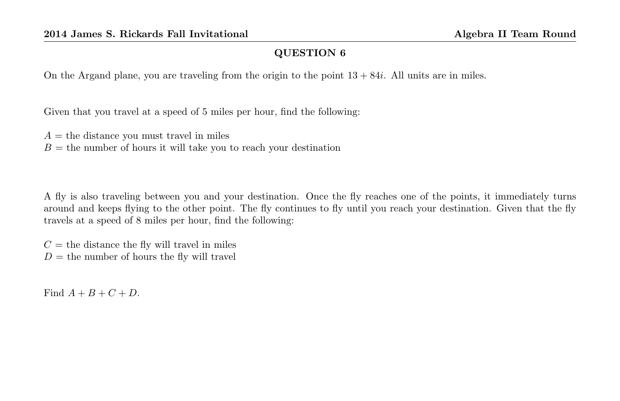On the Argand plane, you are traveling from the origin to the point  $13 + 84i$ . All units are in miles.

Given that you travel at a speed of 5 miles per hour, find the following:

 $A =$  the distance you must travel in miles  $B =$  the number of hours it will take you to reach your destination

A fly is also traveling between you and your destination. Once the fly reaches one of the points, it immediately turns around and keeps flying to the other point. The fly continues to fly until you reach your destination. Given that the fly travels at a speed of 8 miles per hour, find the following:

 $C =$  the distance the fly will travel in miles  $D =$  the number of hours the fly will travel

Find  $A + B + C + D$ .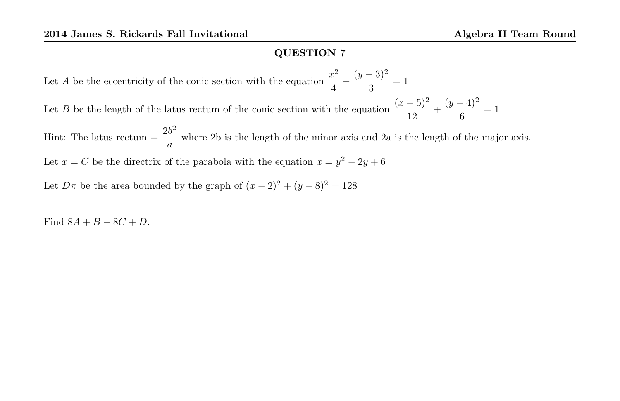Let A be the eccentricity of the conic section with the equation  $\frac{x^2}{4}$  $rac{x^2}{4} - \frac{(y-3)^2}{3}$  $\frac{3}{3}$  = 1 Let B be the length of the latus rectum of the conic section with the equation  $\frac{(x-5)^2}{12} + \frac{(y-4)^2}{6}$  $\frac{1}{6}$  = 1 Hint: The latus rectum  $=$   $\frac{2b^2}{4}$ where 2b is the length of the minor axis and 2a is the length of the major axis. Let  $x = C$  be the directrix of the parabola with the equation  $x = y^2 - 2y + 6$ 

Let  $D\pi$  be the area bounded by the graph of  $(x - 2)^2 + (y - 8)^2 = 128$ 

Find  $8A + B - 8C + D$ .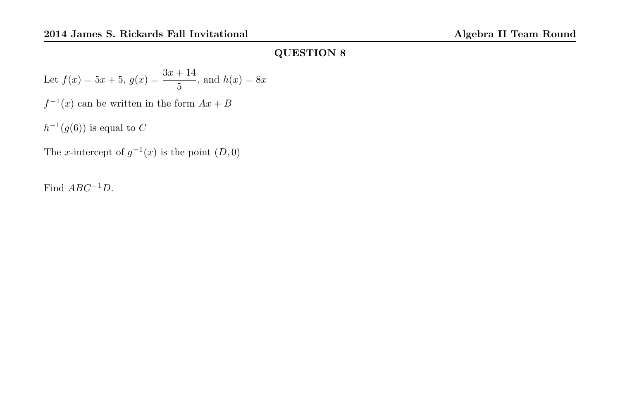Let 
$$
f(x) = 5x + 5
$$
,  $g(x) = \frac{3x + 14}{5}$ , and  $h(x) = 8x$ 

 $f^{-1}(x)$  can be written in the form  $Ax + B$ 

 $h^{-1}(g(6))$  is equal to C

The x-intercept of  $g^{-1}(x)$  is the point  $(D, 0)$ 

Find  $ABC^{-1}D$ .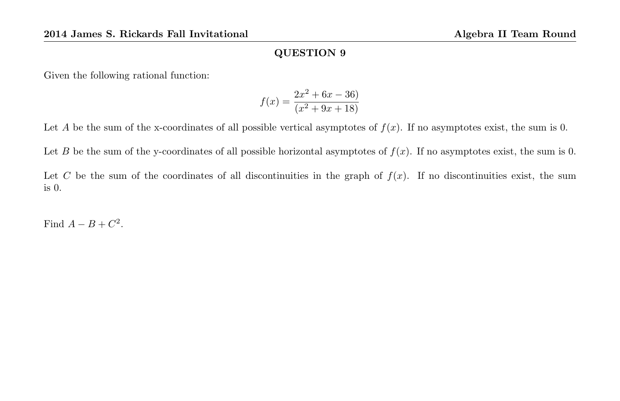Given the following rational function:

$$
f(x) = \frac{2x^2 + 6x - 36}{(x^2 + 9x + 18)}
$$

Let A be the sum of the x-coordinates of all possible vertical asymptotes of  $f(x)$ . If no asymptotes exist, the sum is 0.

Let B be the sum of the y-coordinates of all possible horizontal asymptotes of  $f(x)$ . If no asymptotes exist, the sum is 0.

Let C be the sum of the coordinates of all discontinuities in the graph of  $f(x)$ . If no discontinuities exist, the sum is 0.

Find  $A - B + C^2$ .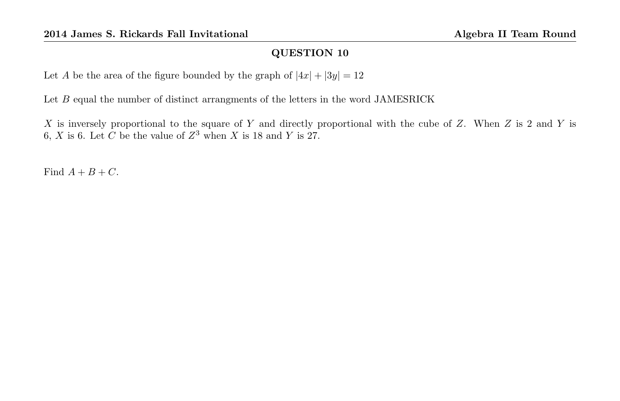Let A be the area of the figure bounded by the graph of  $|4x| + |3y| = 12$ 

Let  $B$  equal the number of distinct arrangments of the letters in the word JAMESRICK

X is inversely proportional to the square of Y and directly proportional with the cube of Z. When Z is 2 and Y is 6, X is 6. Let C be the value of  $Z^3$  when X is 18 and Y is 27.

Find  $A + B + C$ .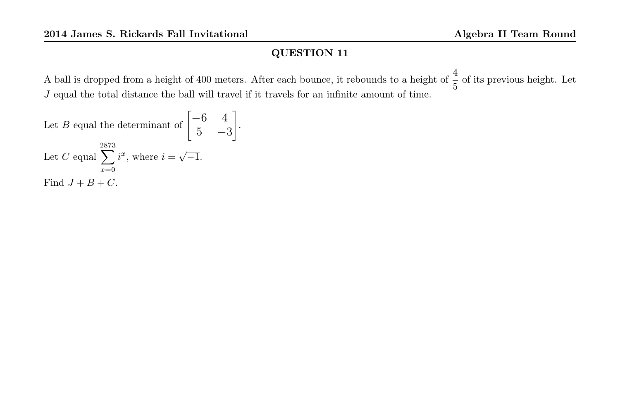A ball is dropped from a height of 400 meters. After each bounce, it rebounds to a height of  $\frac{4}{5}$  of its previous height. Let  $J$  equal the total distance the ball will travel if it travels for an infinite amount of time.

Let *B* equal the determinant of 
$$
\begin{bmatrix} -6 & 4 \\ 5 & -3 \end{bmatrix}
$$
.  
Let *C* equal  $\sum_{x=0}^{2873} i^x$ , where  $i = \sqrt{-1}$ .  
Find  $J + B + C$ .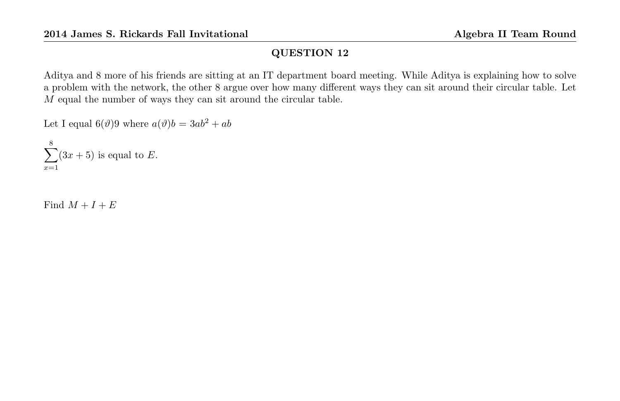Aditya and 8 more of his friends are sitting at an IT department board meeting. While Aditya is explaining how to solve a problem with the network, the other 8 argue over how many different ways they can sit around their circular table. Let M equal the number of ways they can sit around the circular table.

Let I equal  $6(\vartheta)9$  where  $a(\vartheta)b = 3ab^2 + ab$ 

 $\sum^8$  $x=1$  $(3x+5)$  is equal to E.

Find  $M + I + E$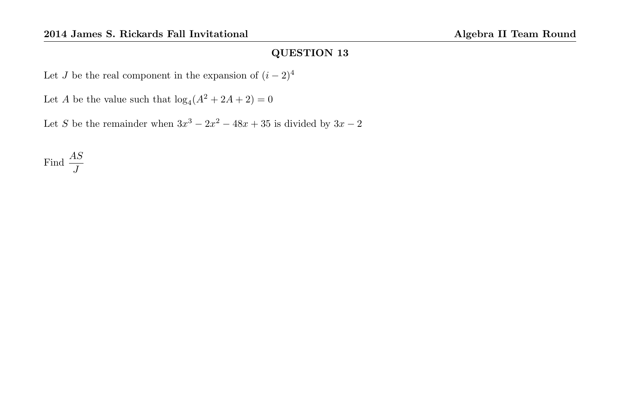Let J be the real component in the expansion of  $(i-2)^4$ 

Let A be the value such that  $log_4(A^2 + 2A + 2) = 0$ 

Let S be the remainder when  $3x^3 - 2x^2 - 48x + 35$  is divided by  $3x - 2$ 

Find  $\frac{AS}{J}$